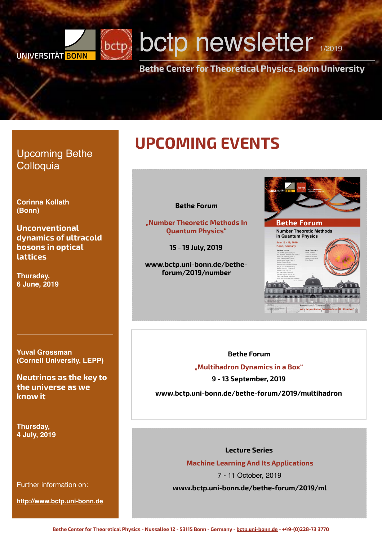## bctp **bctp newsletter** 1/2019 **UNIVERSITÄT BONN**

**Bethe Center for Theoretical Physics, Bonn University**

### Upcoming Bethe **Colloquia**

**Corinna Kollath (Bonn)**

**Unconventional dynamics of ultracold bosons in optical lattices**

**Thursday, 6 June, 2019**

## **UPCOMING EVENTS**

#### **Bethe Forum**

**"Number Theoretic Methods In Quantum Physics"**

**15 - 19 July, 2019**

**[www.bctp.uni-bonn.de/bethe](http://www.bctp.uni-bonn.de/bethe-forum/2019/number)[forum/2019/number](http://www.bctp.uni-bonn.de/bethe-forum/2019/number)** 



#### **Yuval Grossman (Cornell University, LEPP)**

**Neutrinos as the key to the universe as we know it**

**Thursday, 4 July, 2019**

Further information on:

**<http://www.bctp.uni-bonn.de>**

### **Bethe Forum "Multihadron Dynamics in a Box"**

**9 - 13 September, 2019 www.bctp.uni-bonn.de/bethe-forum/2019/multihadron**

#### **Lecture Series**

**Machine Learning And Its Applications**

7 - 11 October, 2019

**www.bctp.uni-bonn.de/bethe-forum/2019/ml**